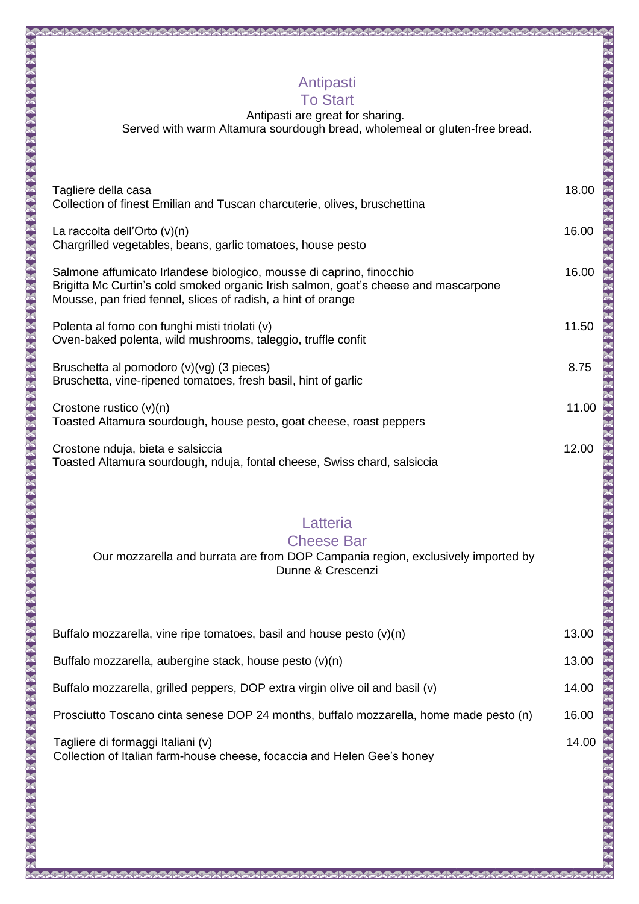#### Antipasti To Start

## Antipasti are great for sharing.

Served with warm Altamura sourdough bread, wholemeal or gluten-free bread.

| Tagliere della casa<br>Collection of finest Emilian and Tuscan charcuterie, olives, bruschettina                                                                                                                            | 18.00 |
|-----------------------------------------------------------------------------------------------------------------------------------------------------------------------------------------------------------------------------|-------|
| La raccolta dell'Orto $(v)(n)$<br>Chargrilled vegetables, beans, garlic tomatoes, house pesto                                                                                                                               | 16.00 |
| Salmone affumicato Irlandese biologico, mousse di caprino, finocchio<br>Brigitta Mc Curtin's cold smoked organic Irish salmon, goat's cheese and mascarpone<br>Mousse, pan fried fennel, slices of radish, a hint of orange | 16.00 |
| Polenta al forno con funghi misti triolati (v)<br>Oven-baked polenta, wild mushrooms, taleggio, truffle confit                                                                                                              | 11.50 |
| Bruschetta al pomodoro (v)(vg) (3 pieces)<br>Bruschetta, vine-ripened tomatoes, fresh basil, hint of garlic                                                                                                                 | 8.75  |
| Crostone rustico (v)(n)<br>Toasted Altamura sourdough, house pesto, goat cheese, roast peppers                                                                                                                              | 11.00 |
| Crostone nduja, bieta e salsiccia<br>Toasted Altamura sourdough, nduja, fontal cheese, Swiss chard, salsiccia                                                                                                               | 12.00 |

## Latteria

#### Cheese Bar

Our mozzarella and burrata are from DOP Campania region, exclusively imported by Dunne & Crescenzi

| Buffalo mozzarella, vine ripe tomatoes, basil and house pesto $(v)(n)$                                       | 13.00 |
|--------------------------------------------------------------------------------------------------------------|-------|
| Buffalo mozzarella, aubergine stack, house pesto (v)(n)                                                      | 13.00 |
| Buffalo mozzarella, grilled peppers, DOP extra virgin olive oil and basil (v)                                | 14.00 |
| Prosciutto Toscano cinta senese DOP 24 months, buffalo mozzarella, home made pesto (n)                       | 16.00 |
| Tagliere di formaggi Italiani (v)<br>Collection of Italian farm-house cheese, focaccia and Helen Gee's honey | 14.00 |

<u> kacamatan ana na mana na mga ana na mga ana na mga ana na mga ana na na na n</u>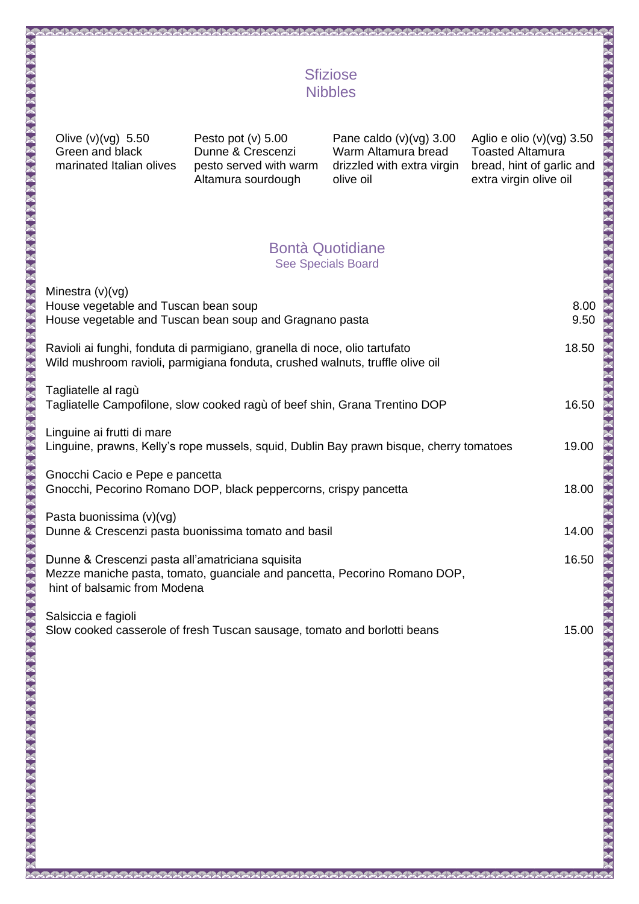## Sfiziose Nibbles

Green and black marinated Italian olives

**RASE** 

Dunne & Crescenzi pesto served with warm Altamura sourdough

Olive (v)(vg) 5.50 Pesto pot (v) 5.00 Pane caldo (v)(vg) 3.00 Aglio e olio (v)(vg) 3.50 Warm Altamura bread drizzled with extra virgin olive oil

Toasted Altamura bread, hint of garlic and extra virgin olive oil

#### Bontà Quotidiane See Specials Board

| Minestra $(v)(vg)$<br>House vegetable and Tuscan bean soup<br>House vegetable and Tuscan bean soup and Gragnano pasta                                         | 8.00<br>9.50 |
|---------------------------------------------------------------------------------------------------------------------------------------------------------------|--------------|
| Ravioli ai funghi, fonduta di parmigiano, granella di noce, olio tartufato<br>Wild mushroom ravioli, parmigiana fonduta, crushed walnuts, truffle olive oil   | 18.50        |
| Tagliatelle al ragù<br>Tagliatelle Campofilone, slow cooked ragù of beef shin, Grana Trentino DOP                                                             | 16.50        |
| Linguine ai frutti di mare<br>Linguine, prawns, Kelly's rope mussels, squid, Dublin Bay prawn bisque, cherry tomatoes                                         | 19.00        |
| Gnocchi Cacio e Pepe e pancetta<br>Gnocchi, Pecorino Romano DOP, black peppercorns, crispy pancetta                                                           | 18.00        |
| Pasta buonissima (v)(vg)<br>Dunne & Crescenzi pasta buonissima tomato and basil                                                                               | 14.00        |
| Dunne & Crescenzi pasta all'amatriciana squisita<br>Mezze maniche pasta, tomato, guanciale and pancetta, Pecorino Romano DOP,<br>hint of balsamic from Modena | 16.50        |
| Salsiccia e fagioli<br>Slow cooked casserole of fresh Tuscan sausage, tomato and borlotti beans                                                               | 15.00        |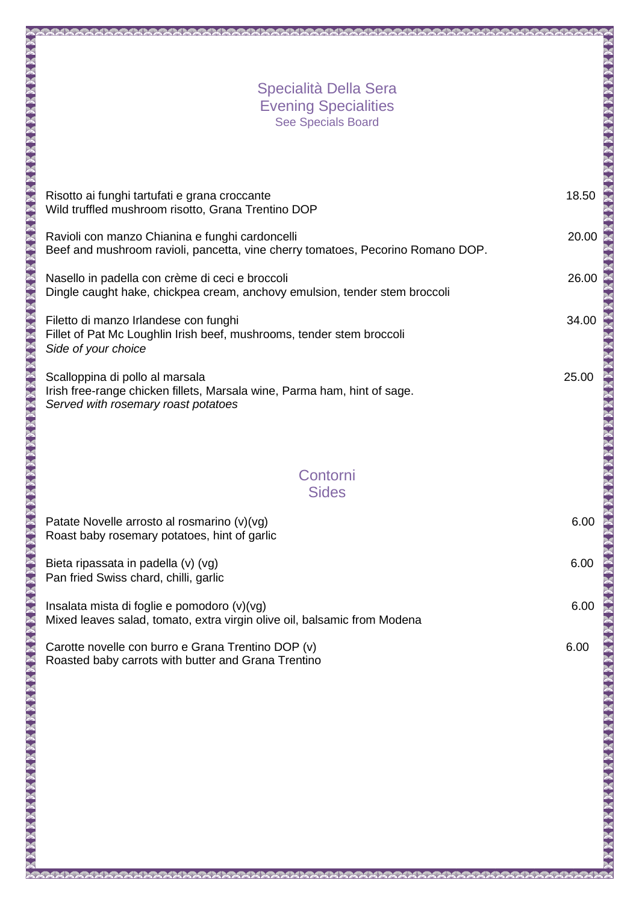#### Specialità Della Sera Evening Specialities See Specials Board

| Risotto ai funghi tartufati e grana croccante<br>Wild truffled mushroom risotto, Grana Trentino DOP                                                | 18.50 |
|----------------------------------------------------------------------------------------------------------------------------------------------------|-------|
| Ravioli con manzo Chianina e funghi cardoncelli<br>Beef and mushroom ravioli, pancetta, vine cherry tomatoes, Pecorino Romano DOP.                 | 20.00 |
| Nasello in padella con crème di ceci e broccoli<br>Dingle caught hake, chickpea cream, anchovy emulsion, tender stem broccoli                      | 26.00 |
| Filetto di manzo Irlandese con funghi<br>Fillet of Pat Mc Loughlin Irish beef, mushrooms, tender stem broccoli<br>Side of your choice              | 34.00 |
| Scalloppina di pollo al marsala<br>Irish free-range chicken fillets, Marsala wine, Parma ham, hint of sage.<br>Served with rosemary roast potatoes | 25.00 |

## **Contorni** Sides

| Patate Novelle arrosto al rosmarino (v)(vg)<br>Roast baby rosemary potatoes, hint of garlic                             | 6.00 |
|-------------------------------------------------------------------------------------------------------------------------|------|
| Bieta ripassata in padella (v) (vg)<br>Pan fried Swiss chard, chilli, garlic                                            | 6.00 |
| Insalata mista di foglie e pomodoro (v)(vg)<br>Mixed leaves salad, tomato, extra virgin olive oil, balsamic from Modena | 6.00 |
| Carotte novelle con burro e Grana Trentino DOP (v)<br>Roasted baby carrots with butter and Grana Trentino               | 6.00 |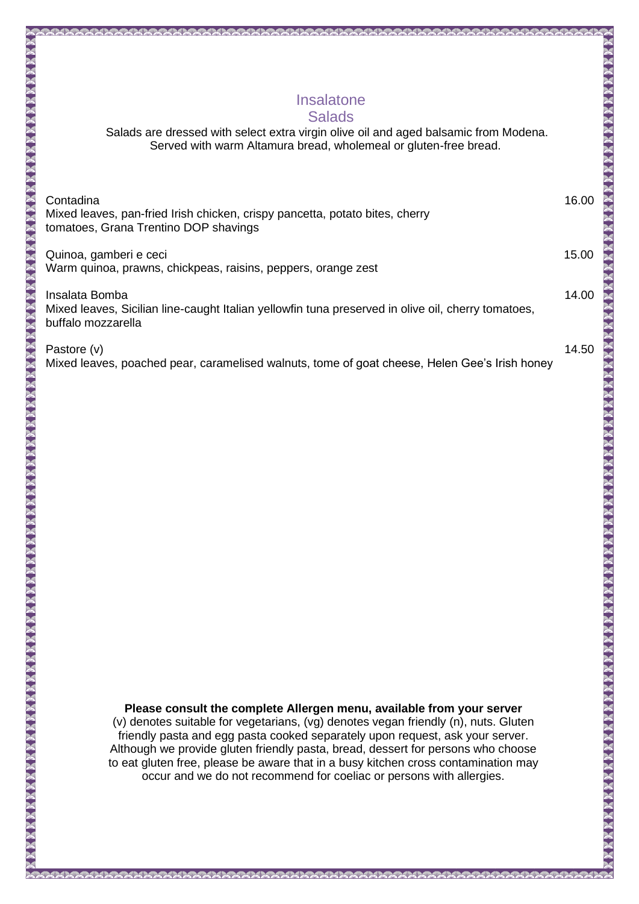# Insalatone

#### **Salads**

#### Salads are dressed with select extra virgin olive oil and aged balsamic from Modena. Served with warm Altamura bread, wholemeal or gluten-free bread.

| Contadina<br>Mixed leaves, pan-fried Irish chicken, crispy pancetta, potato bites, cherry<br>tomatoes, Grana Trentino DOP shavings         | 16.00 |
|--------------------------------------------------------------------------------------------------------------------------------------------|-------|
| Quinoa, gamberi e ceci<br>Warm quinoa, prawns, chickpeas, raisins, peppers, orange zest                                                    | 15.00 |
| Insalata Bomba<br>Mixed leaves, Sicilian line-caught Italian yellowfin tuna preserved in olive oil, cherry tomatoes,<br>buffalo mozzarella | 14.00 |
| Pastore (v)<br>Mixed leaves, poached pear, caramelised walnuts, tome of goat cheese, Helen Gee's Irish honey                               | 14.50 |

**Please consult the complete Allergen menu, available from your server** (v) denotes suitable for vegetarians, (vg) denotes vegan friendly (n), nuts. Gluten friendly pasta and egg pasta cooked separately upon request, ask your server. Although we provide gluten friendly pasta, bread, dessert for persons who choose to eat gluten free, please be aware that in a busy kitchen cross contamination may occur and we do not recommend for coeliac or persons with allergies.